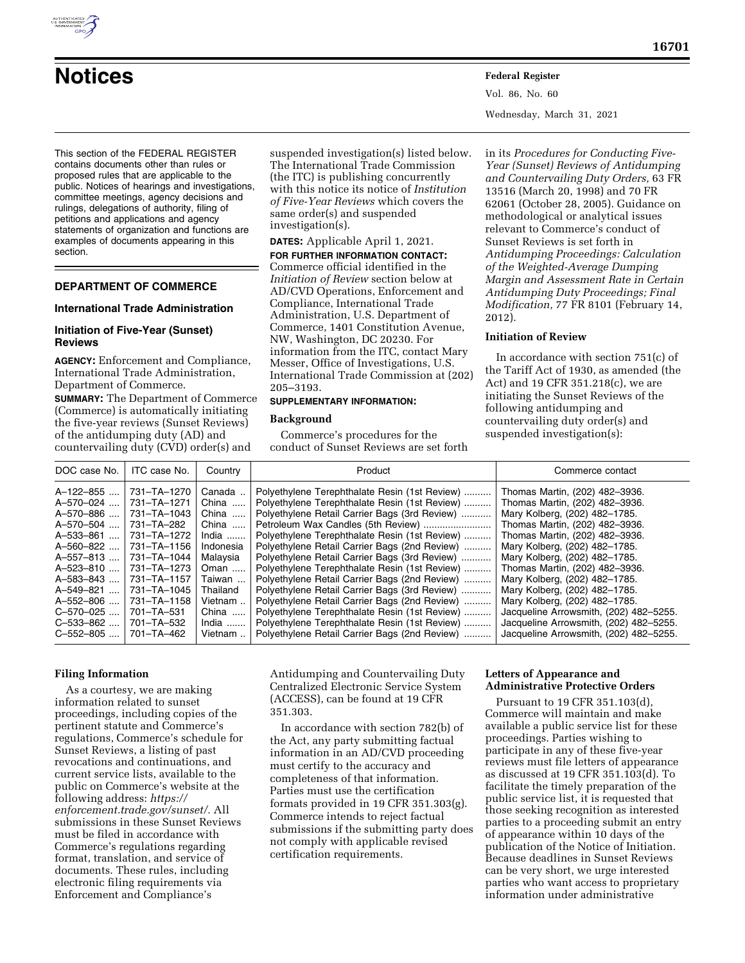

Vol. 86, No. 60 Wednesday, March 31, 2021

This section of the FEDERAL REGISTER contains documents other than rules or proposed rules that are applicable to the public. Notices of hearings and investigations, committee meetings, agency decisions and rulings, delegations of authority, filing of petitions and applications and agency statements of organization and functions are examples of documents appearing in this section.

# **DEPARTMENT OF COMMERCE**

#### **International Trade Administration**

## **Initiation of Five-Year (Sunset) Reviews**

**AGENCY:** Enforcement and Compliance, International Trade Administration, Department of Commerce.

**SUMMARY:** The Department of Commerce (Commerce) is automatically initiating the five-year reviews (Sunset Reviews) of the antidumping duty (AD) and countervailing duty (CVD) order(s) and

suspended investigation(s) listed below. The International Trade Commission (the ITC) is publishing concurrently with this notice its notice of *Institution of Five-Year Reviews* which covers the same order(s) and suspended investigation(s).

**DATES:** Applicable April 1, 2021. **FOR FURTHER INFORMATION CONTACT:**  Commerce official identified in the *Initiation of Review* section below at AD/CVD Operations, Enforcement and Compliance, International Trade Administration, U.S. Department of Commerce, 1401 Constitution Avenue, NW, Washington, DC 20230. For information from the ITC, contact Mary Messer, Office of Investigations, U.S. International Trade Commission at (202) 205–3193.

# **SUPPLEMENTARY INFORMATION:**

# **Background**

Commerce's procedures for the conduct of Sunset Reviews are set forth

in its *Procedures for Conducting Five-Year (Sunset) Reviews of Antidumping and Countervailing Duty Orders,* 63 FR 13516 (March 20, 1998) and 70 FR 62061 (October 28, 2005). Guidance on methodological or analytical issues relevant to Commerce's conduct of Sunset Reviews is set forth in *Antidumping Proceedings: Calculation of the Weighted-Average Dumping Margin and Assessment Rate in Certain Antidumping Duty Proceedings; Final Modification,* 77 FR 8101 (February 14, 2012).

## **Initiation of Review**

In accordance with section 751(c) of the Tariff Act of 1930, as amended (the Act) and 19 CFR 351.218(c), we are initiating the Sunset Reviews of the following antidumping and countervailing duty order(s) and suspended investigation(s):

## **Filing Information**

As a courtesy, we are making information related to sunset proceedings, including copies of the pertinent statute and Commerce's regulations, Commerce's schedule for Sunset Reviews, a listing of past revocations and continuations, and current service lists, available to the public on Commerce's website at the following address: *https:// enforcement.trade.gov/sunset/.* All submissions in these Sunset Reviews must be filed in accordance with Commerce's regulations regarding format, translation, and service of documents. These rules, including electronic filing requirements via Enforcement and Compliance's

Antidumping and Countervailing Duty Centralized Electronic Service System (ACCESS), can be found at 19 CFR 351.303.

In accordance with section 782(b) of the Act, any party submitting factual information in an AD/CVD proceeding must certify to the accuracy and completeness of that information. Parties must use the certification formats provided in 19 CFR 351.303(g). Commerce intends to reject factual submissions if the submitting party does not comply with applicable revised certification requirements.

# **Letters of Appearance and Administrative Protective Orders**

Pursuant to 19 CFR 351.103(d), Commerce will maintain and make available a public service list for these proceedings. Parties wishing to participate in any of these five-year reviews must file letters of appearance as discussed at 19 CFR 351.103(d). To facilitate the timely preparation of the public service list, it is requested that those seeking recognition as interested parties to a proceeding submit an entry of appearance within 10 days of the publication of the Notice of Initiation. Because deadlines in Sunset Reviews can be very short, we urge interested parties who want access to proprietary information under administrative